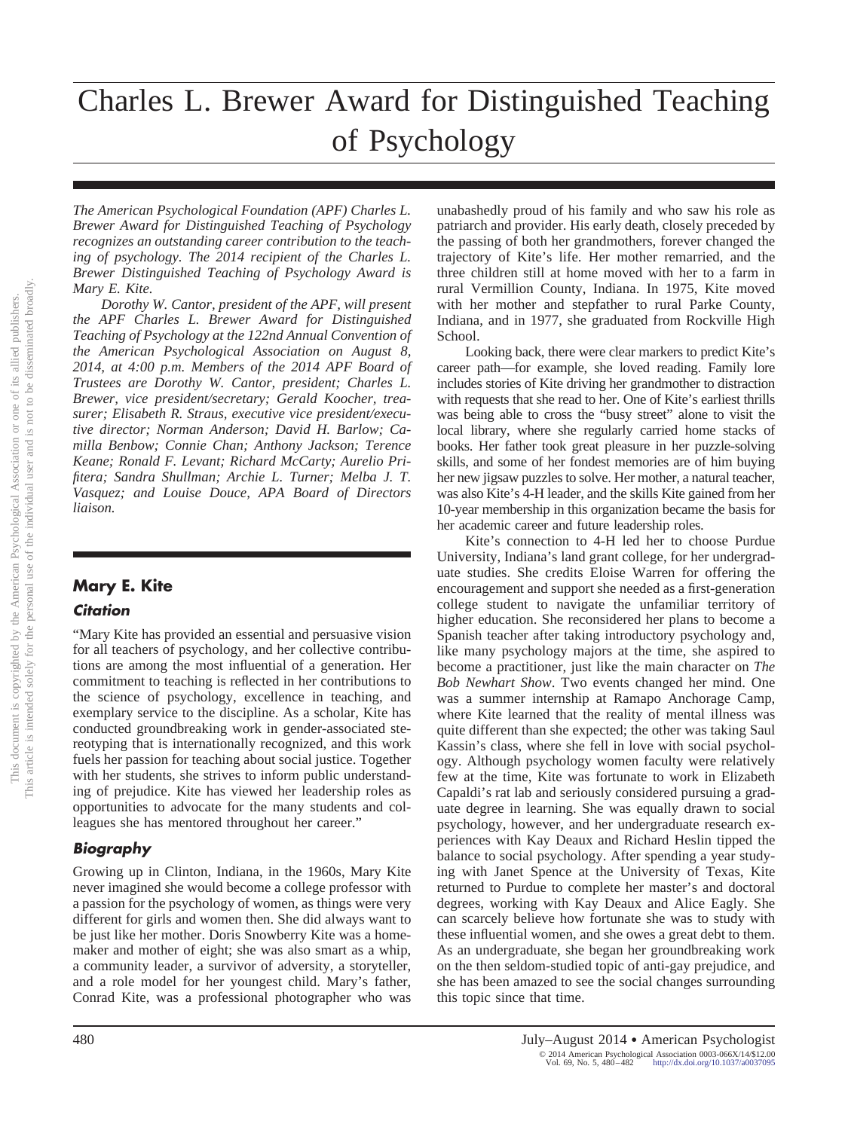# Charles L. Brewer Award for Distinguished Teaching of Psychology

*The American Psychological Foundation (APF) Charles L. Brewer Award for Distinguished Teaching of Psychology recognizes an outstanding career contribution to the teaching of psychology. The 2014 recipient of the Charles L. Brewer Distinguished Teaching of Psychology Award is Mary E. Kite.*

*Dorothy W. Cantor, president of the APF, will present the APF Charles L. Brewer Award for Distinguished Teaching of Psychology at the 122nd Annual Convention of the American Psychological Association on August 8, 2014, at 4:00 p.m. Members of the 2014 APF Board of Trustees are Dorothy W. Cantor, president; Charles L. Brewer, vice president/secretary; Gerald Koocher, treasurer; Elisabeth R. Straus, executive vice president/executive director; Norman Anderson; David H. Barlow; Camilla Benbow; Connie Chan; Anthony Jackson; Terence Keane; Ronald F. Levant; Richard McCarty; Aurelio Prifitera; Sandra Shullman; Archie L. Turner; Melba J. T. Vasquez; and Louise Douce, APA Board of Directors liaison.*

## **Mary E. Kite**

#### *Citation*

"Mary Kite has provided an essential and persuasive vision for all teachers of psychology, and her collective contributions are among the most influential of a generation. Her commitment to teaching is reflected in her contributions to the science of psychology, excellence in teaching, and exemplary service to the discipline. As a scholar, Kite has conducted groundbreaking work in gender-associated stereotyping that is internationally recognized, and this work fuels her passion for teaching about social justice. Together with her students, she strives to inform public understanding of prejudice. Kite has viewed her leadership roles as opportunities to advocate for the many students and colleagues she has mentored throughout her career."

#### *Biography*

Growing up in Clinton, Indiana, in the 1960s, Mary Kite never imagined she would become a college professor with a passion for the psychology of women, as things were very different for girls and women then. She did always want to be just like her mother. Doris Snowberry Kite was a homemaker and mother of eight; she was also smart as a whip, a community leader, a survivor of adversity, a storyteller, and a role model for her youngest child. Mary's father, Conrad Kite, was a professional photographer who was

unabashedly proud of his family and who saw his role as patriarch and provider. His early death, closely preceded by the passing of both her grandmothers, forever changed the trajectory of Kite's life. Her mother remarried, and the three children still at home moved with her to a farm in rural Vermillion County, Indiana. In 1975, Kite moved with her mother and stepfather to rural Parke County, Indiana, and in 1977, she graduated from Rockville High School.

Looking back, there were clear markers to predict Kite's career path—for example, she loved reading. Family lore includes stories of Kite driving her grandmother to distraction with requests that she read to her. One of Kite's earliest thrills was being able to cross the "busy street" alone to visit the local library, where she regularly carried home stacks of books. Her father took great pleasure in her puzzle-solving skills, and some of her fondest memories are of him buying her new jigsaw puzzles to solve. Her mother, a natural teacher, was also Kite's 4-H leader, and the skills Kite gained from her 10-year membership in this organization became the basis for her academic career and future leadership roles.

Kite's connection to 4-H led her to choose Purdue University, Indiana's land grant college, for her undergraduate studies. She credits Eloise Warren for offering the encouragement and support she needed as a first-generation college student to navigate the unfamiliar territory of higher education. She reconsidered her plans to become a Spanish teacher after taking introductory psychology and, like many psychology majors at the time, she aspired to become a practitioner, just like the main character on *The Bob Newhart Show*. Two events changed her mind. One was a summer internship at Ramapo Anchorage Camp, where Kite learned that the reality of mental illness was quite different than she expected; the other was taking Saul Kassin's class, where she fell in love with social psychology. Although psychology women faculty were relatively few at the time, Kite was fortunate to work in Elizabeth Capaldi's rat lab and seriously considered pursuing a graduate degree in learning. She was equally drawn to social psychology, however, and her undergraduate research experiences with Kay Deaux and Richard Heslin tipped the balance to social psychology. After spending a year studying with Janet Spence at the University of Texas, Kite returned to Purdue to complete her master's and doctoral degrees, working with Kay Deaux and Alice Eagly. She can scarcely believe how fortunate she was to study with these influential women, and she owes a great debt to them. As an undergraduate, she began her groundbreaking work on the then seldom-studied topic of anti-gay prejudice, and she has been amazed to see the social changes surrounding this topic since that time.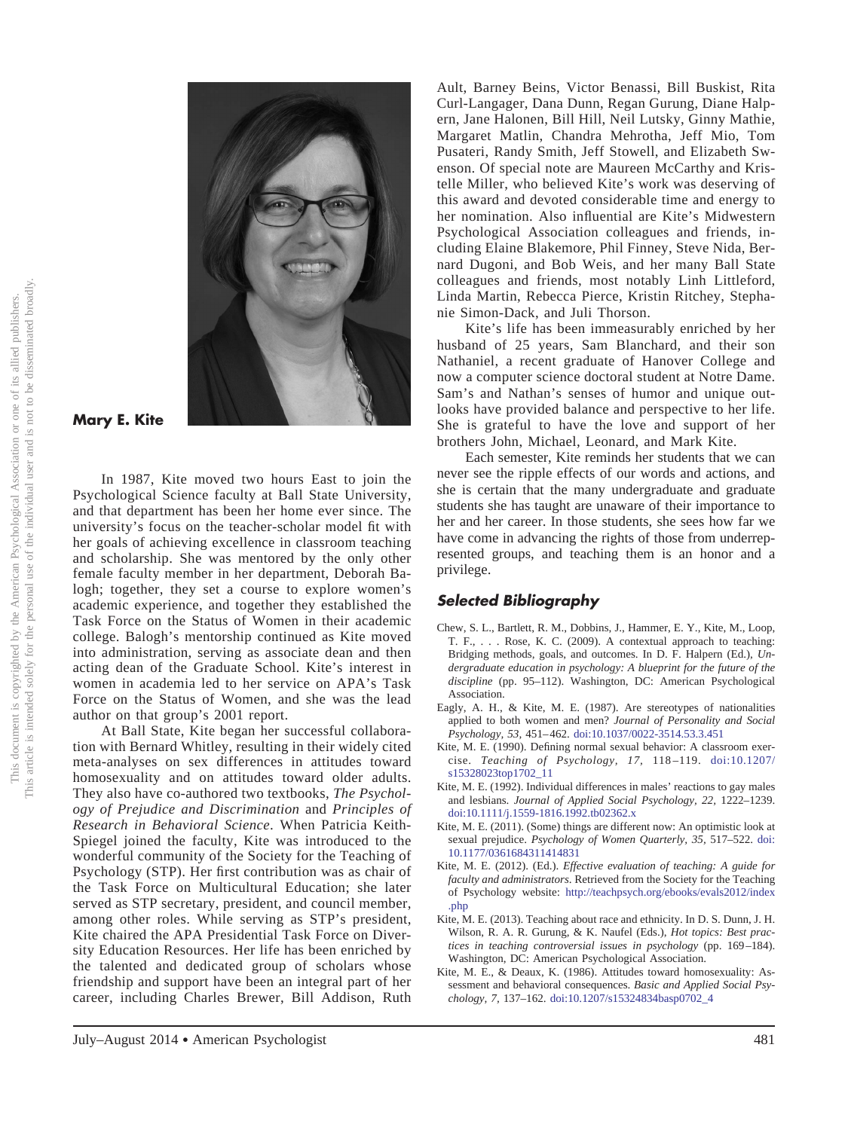

### **Mary E. Kite**

In 1987, Kite moved two hours East to join the Psychological Science faculty at Ball State University, and that department has been her home ever since. The university's focus on the teacher-scholar model fit with her goals of achieving excellence in classroom teaching and scholarship. She was mentored by the only other female faculty member in her department, Deborah Balogh; together, they set a course to explore women's academic experience, and together they established the Task Force on the Status of Women in their academic college. Balogh's mentorship continued as Kite moved into administration, serving as associate dean and then acting dean of the Graduate School. Kite's interest in women in academia led to her service on APA's Task Force on the Status of Women, and she was the lead author on that group's 2001 report.

At Ball State, Kite began her successful collaboration with Bernard Whitley, resulting in their widely cited meta-analyses on sex differences in attitudes toward homosexuality and on attitudes toward older adults. They also have co-authored two textbooks, *The Psychology of Prejudice and Discrimination* and *Principles of Research in Behavioral Science*. When Patricia Keith-Spiegel joined the faculty, Kite was introduced to the wonderful community of the Society for the Teaching of Psychology (STP). Her first contribution was as chair of the Task Force on Multicultural Education; she later served as STP secretary, president, and council member, among other roles. While serving as STP's president, Kite chaired the APA Presidential Task Force on Diversity Education Resources. Her life has been enriched by the talented and dedicated group of scholars whose friendship and support have been an integral part of her career, including Charles Brewer, Bill Addison, Ruth

Ault, Barney Beins, Victor Benassi, Bill Buskist, Rita Curl-Langager, Dana Dunn, Regan Gurung, Diane Halpern, Jane Halonen, Bill Hill, Neil Lutsky, Ginny Mathie, Margaret Matlin, Chandra Mehrotha, Jeff Mio, Tom Pusateri, Randy Smith, Jeff Stowell, and Elizabeth Swenson. Of special note are Maureen McCarthy and Kristelle Miller, who believed Kite's work was deserving of this award and devoted considerable time and energy to her nomination. Also influential are Kite's Midwestern Psychological Association colleagues and friends, including Elaine Blakemore, Phil Finney, Steve Nida, Bernard Dugoni, and Bob Weis, and her many Ball State colleagues and friends, most notably Linh Littleford, Linda Martin, Rebecca Pierce, Kristin Ritchey, Stephanie Simon-Dack, and Juli Thorson.

Kite's life has been immeasurably enriched by her husband of 25 years, Sam Blanchard, and their son Nathaniel, a recent graduate of Hanover College and now a computer science doctoral student at Notre Dame. Sam's and Nathan's senses of humor and unique outlooks have provided balance and perspective to her life. She is grateful to have the love and support of her brothers John, Michael, Leonard, and Mark Kite.

Each semester, Kite reminds her students that we can never see the ripple effects of our words and actions, and she is certain that the many undergraduate and graduate students she has taught are unaware of their importance to her and her career. In those students, she sees how far we have come in advancing the rights of those from underrepresented groups, and teaching them is an honor and a privilege.

#### *Selected Bibliography*

- Chew, S. L., Bartlett, R. M., Dobbins, J., Hammer, E. Y., Kite, M., Loop, T. F., . . . Rose, K. C. (2009). A contextual approach to teaching: Bridging methods, goals, and outcomes. In D. F. Halpern (Ed.), *Undergraduate education in psychology: A blueprint for the future of the discipline* (pp. 95–112). Washington, DC: American Psychological Association.
- Eagly, A. H., & Kite, M. E. (1987). Are stereotypes of nationalities applied to both women and men? *Journal of Personality and Social Psychology, 53,* 451–462. [doi:10.1037/0022-3514.53.3.451](http://dx.doi.org/10.1037/0022-3514.53.3.451)
- Kite, M. E. (1990). Defining normal sexual behavior: A classroom exercise. *Teaching of Psychology, 17,* 118–119. [doi:10.1207/](http://dx.doi.org/10.1207/s15328023top1702_11) [s15328023top1702\\_11](http://dx.doi.org/10.1207/s15328023top1702_11)
- Kite, M. E. (1992). Individual differences in males' reactions to gay males and lesbians. *Journal of Applied Social Psychology, 22,* 1222–1239. [doi:10.1111/j.1559-1816.1992.tb02362.x](http://dx.doi.org/10.1111/j.1559-1816.1992.tb02362.x)
- Kite, M. E. (2011). (Some) things are different now: An optimistic look at sexual prejudice. *Psychology of Women Quarterly, 35,* 517–522. [doi:](http://dx.doi.org/10.1177/0361684311414831) [10.1177/0361684311414831](http://dx.doi.org/10.1177/0361684311414831)
- Kite, M. E. (2012). (Ed.). *Effective evaluation of teaching: A guide for faculty and administrators*. Retrieved from the Society for the Teaching of Psychology website: [http://teachpsych.org/ebooks/evals2012/index](teachpsych.org/ebooks/evals2012/index.php) [.php](teachpsych.org/ebooks/evals2012/index.php)
- Kite, M. E. (2013). Teaching about race and ethnicity. In D. S. Dunn, J. H. Wilson, R. A. R. Gurung, & K. Naufel (Eds.), *Hot topics: Best practices in teaching controversial issues in psychology* (pp. 169–184). Washington, DC: American Psychological Association.
- Kite, M. E., & Deaux, K. (1986). Attitudes toward homosexuality: Assessment and behavioral consequences. *Basic and Applied Social Psychology, 7,* 137–162. [doi:10.1207/s15324834basp0702\\_4](http://dx.doi.org/10.1207/s15324834basp0702_4)